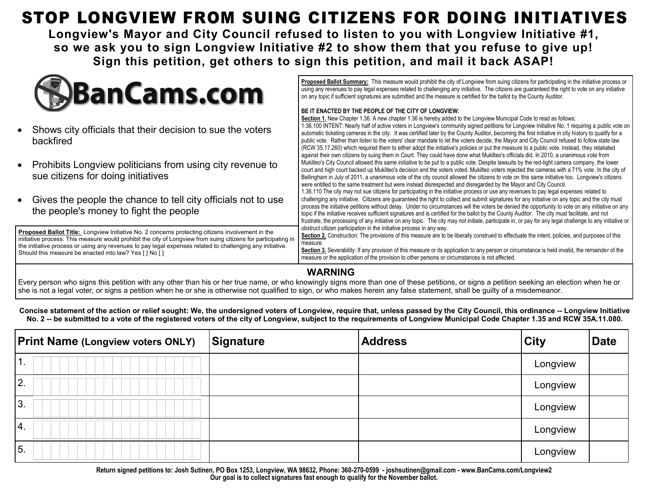### STOP LONGVIEW FROM SUING CITIZENS FOR DOING INITIATIVES

**Longview's Mayor and City Council refused to listen to you with Longview Initiative #1, so we ask you to sign Longview Initiative #2 to show them that you refuse to give up! Sign this petition, get others to sign this petition, and mail it back ASAP!**



- Shows city officials that their decision to sue the voters backfired
- Prohibits Longview politicians from using city revenue to sue citizens for doing initiatives
- Gives the people the chance to tell city officials not to us the people's money to fight the people

**Proposed Ballot Title:** Longview Initiative No. 2 concerns protecting citizens involvement in the initiative process. This measure would prohibit the city of Longview from suing citizens for partici the initiative process or using any revenues to pay legal expenses related to challenging any initiative. Should this measure be enacted into law? Yes [ ] No [ ]

**Proposed Ballot Summary:** This measure would prohibit the city of Longview from suing citizens for participating in the initiative process or using any revenues to pay legal expenses related to challenging any initiative. The citizens are guaranteed the right to vote on any initiative on any topic if sufficient signatures are submitted and the measure is certified for the ballot by the County Auditor.

#### **BE IT ENACTED BY THE PEOPLE OF THE CITY OF LONGVIEW:**

|            | Section 1. New Chapter 1.36. A new chapter 1.36 is hereby added to the Longview Municipal Code to read as follows:                                       |  |
|------------|----------------------------------------------------------------------------------------------------------------------------------------------------------|--|
|            | 1.36.100 INTENT: Nearly half of active voters in Longview's community signed petitions for Longview Initiative No. 1 requiring a public vote on          |  |
|            | automatic ticketing cameras in the city. It was certified later by the County Auditor, becoming the first initiative in city history to qualify for a    |  |
|            | public vote. Rather than listen to the voters' clear mandate to let the voters decide, the Mayor and City Council refused to follow state law            |  |
|            | (RCW 35.17.260) which required them to either adopt the initiative's policies or put the measure to a public vote. Instead, they retaliated              |  |
|            | against their own citizens by suing them in Court. They could have done what Mukilteo's officials did. In 2010, a unanimous vote from                    |  |
| i٥         | Mukilteo's City Council allowed this same initiative to be put to a public vote. Despite lawsuits by the red-light camera company, the lower             |  |
|            | court and high court backed up Mukilteo's decision and the voters voted. Mukilteo voters rejected the cameras with a 71% vote. In the city of            |  |
|            | Bellingham in July of 2011, a unanimous vote of the city council allowed the citizens to vote on this same initiative too. Longview's citizens           |  |
|            | were entitled to the same treatment but were instead disrespected and disregarded by the Mayor and City Council.                                         |  |
|            | 1.36.110 The city may not sue citizens for participating in the initiative process or use any revenues to pay legal expenses related to                  |  |
| ise        | challenging any initiative. Citizens are guaranteed the right to collect and submit signatures for any initiative on any topic and the city must         |  |
|            | process the initiative petitions without delay. Under no circumstances will the voters be denied the opportunity to vote on any initiative on any        |  |
|            | topic if the initiative receives sufficient signatures and is certified for the ballot by the County Auditor. The city must facilitate, and not          |  |
|            | frustrate, the processing of any initiative on any topic. The city may not initiate, participate in, or pay for any legal challenge to any initiative or |  |
|            | obstruct citizen participation in the initiative process in any way.                                                                                     |  |
| ipating in | Section 2. Construction: The provisions of this measure are to be liberally construed to effectuate the intent, policies, and purposes of this           |  |
| iative.    | measure.                                                                                                                                                 |  |
|            | Section 3. Severability: If any provision of this measure or its application to any person or circumstance is held invalid, the remainder of the         |  |
|            | measure or the application of the provision to other persons or circumstances is not affected.                                                           |  |
|            |                                                                                                                                                          |  |

#### **WARNING**

Every person who signs this petition with any other than his or her true name, or who knowingly signs more than one of these petitions, or signs a petition seeking an election when he or she is not a legal voter, or signs a petition when he or she is otherwise not qualified to sign, or who makes herein any false statement, shall be guilty of a misdemeanor.

**Concise statement of the action or relief sought: We, the undersigned voters of Longview, require that, unless passed by the City Council, this ordinance -- Longview Initiative**  No. 2 -- be submitted to a vote of the registered voters of the city of Longview, subject to the requirements of Longview Municipal Code Chapter 1.35 and RCW 35A.11.080.

| <b>Print Name (Longview voters ONLY)</b> | Signature | <b>Address</b> | <b>City</b> | <b>Date</b> |
|------------------------------------------|-----------|----------------|-------------|-------------|
| $\overline{1}$ .                         |           |                | Longview    |             |
| <b>2.</b>                                |           |                | Longview    |             |
| 13.                                      |           |                | Longview    |             |
| $\overline{4}$ .                         |           |                | Longview    |             |
| 5.                                       |           |                | Longview    |             |